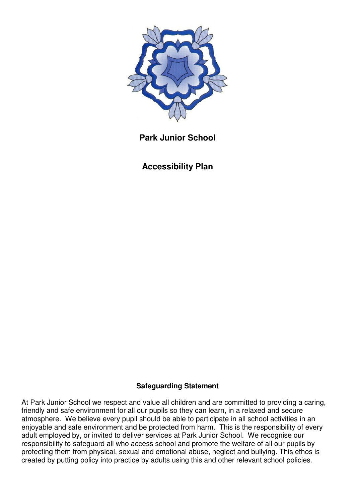

**Park Junior School** 

**Accessibility Plan** 

# **Safeguarding Statement**

At Park Junior School we respect and value all children and are committed to providing a caring, friendly and safe environment for all our pupils so they can learn, in a relaxed and secure atmosphere. We believe every pupil should be able to participate in all school activities in an enjoyable and safe environment and be protected from harm. This is the responsibility of every adult employed by, or invited to deliver services at Park Junior School. We recognise our responsibility to safeguard all who access school and promote the welfare of all our pupils by protecting them from physical, sexual and emotional abuse, neglect and bullying. This ethos is created by putting policy into practice by adults using this and other relevant school policies.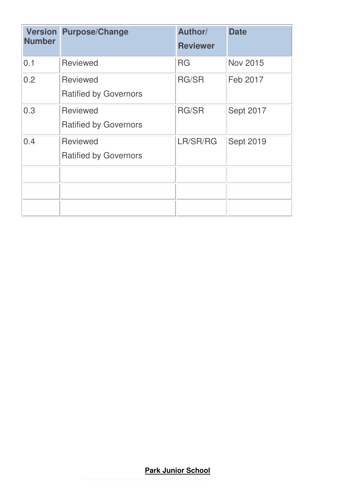| <b>Number</b> | <b>Version Purpose/Change</b>                   | Author/<br><b>Reviewer</b> | <b>Date</b>      |
|---------------|-------------------------------------------------|----------------------------|------------------|
| 0.1           | <b>Reviewed</b>                                 | <b>RG</b>                  | <b>Nov 2015</b>  |
| 0.2           | <b>Reviewed</b><br><b>Ratified by Governors</b> | <b>RG/SR</b>               | Feb 2017         |
| 0.3           | <b>Reviewed</b><br><b>Ratified by Governors</b> | <b>RG/SR</b>               | <b>Sept 2017</b> |
| 0.4           | <b>Reviewed</b><br><b>Ratified by Governors</b> | LR/SR/RG                   | <b>Sept 2019</b> |
|               |                                                 |                            |                  |
|               |                                                 |                            |                  |
|               |                                                 |                            |                  |

## **Park Junior School**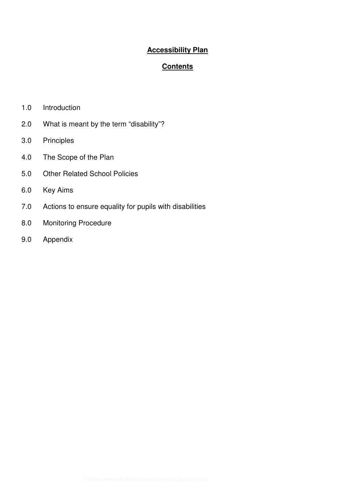## **Accessibility Plan**

## **Contents**

- 1.0 Introduction
- 2.0 What is meant by the term "disability"?
- 3.0 Principles
- 4.0 The Scope of the Plan
- 5.0 Other Related School Policies
- 6.0 Key Aims
- 7.0 Actions to ensure equality for pupils with disabilities
- 8.0 Monitoring Procedure
- 9.0 Appendix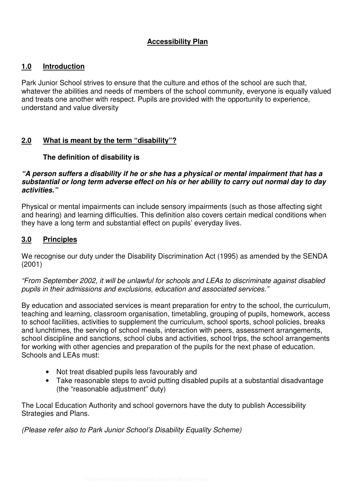### **Accessibility Plan**

### **1.0 Introduction**

Park Junior School strives to ensure that the culture and ethos of the school are such that, whatever the abilities and needs of members of the school community, everyone is equally valued and treats one another with respect. Pupils are provided with the opportunity to experience, understand and value diversity

## **2.0 What is meant by the term "disability"?**

#### **The definition of disability is**

#### **"A person suffers a disability if he or she has a physical or mental impairment that has a substantial or long term adverse effect on his or her ability to carry out normal day to day activities."**

Physical or mental impairments can include sensory impairments (such as those affecting sight and hearing) and learning difficulties. This definition also covers certain medical conditions when they have a long term and substantial effect on pupils' everyday lives.

### **3.0 Principles**

We recognise our duty under the Disability Discrimination Act (1995) as amended by the SENDA (2001)

"From September 2002, it will be unlawful for schools and LEAs to discriminate against disabled pupils in their admissions and exclusions, education and associated services."

By education and associated services is meant preparation for entry to the school, the curriculum, teaching and learning, classroom organisation, timetabling, grouping of pupils, homework, access to school facilities, activities to supplement the curriculum, school sports, school policies, breaks and lunchtimes, the serving of school meals, interaction with peers, assessment arrangements, school discipline and sanctions, school clubs and activities, school trips, the school arrangements for working with other agencies and preparation of the pupils for the next phase of education. Schools and LEAs must:

- Not treat disabled pupils less favourably and
- Take reasonable steps to avoid putting disabled pupils at a substantial disadvantage (the "reasonable adjustment" duty)

The Local Education Authority and school governors have the duty to publish Accessibility Strategies and Plans.

(Please refer also to Park Junior School's Disability Equality Scheme)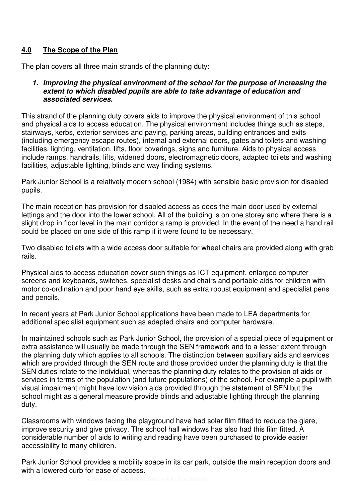# **4.0 The Scope of the Plan**

The plan covers all three main strands of the planning duty:

#### **1. Improving the physical environment of the school for the purpose of increasing the extent to which disabled pupils are able to take advantage of education and associated services.**

This strand of the planning duty covers aids to improve the physical environment of this school and physical aids to access education. The physical environment includes things such as steps, stairways, kerbs, exterior services and paving, parking areas, building entrances and exits (including emergency escape routes), internal and external doors, gates and toilets and washing facilities, lighting, ventilation, lifts, floor coverings, signs and furniture. Aids to physical access include ramps, handrails, lifts, widened doors, electromagnetic doors, adapted toilets and washing facilities, adjustable lighting, blinds and way finding systems.

Park Junior School is a relatively modern school (1984) with sensible basic provision for disabled pupils.

The main reception has provision for disabled access as does the main door used by external lettings and the door into the lower school. All of the building is on one storey and where there is a slight drop in floor level in the main corridor a ramp is provided. In the event of the need a hand rail could be placed on one side of this ramp if it were found to be necessary.

Two disabled toilets with a wide access door suitable for wheel chairs are provided along with grab rails.

Physical aids to access education cover such things as ICT equipment, enlarged computer screens and keyboards, switches, specialist desks and chairs and portable aids for children with motor co-ordination and poor hand eye skills, such as extra robust equipment and specialist pens and pencils.

In recent years at Park Junior School applications have been made to LEA departments for additional specialist equipment such as adapted chairs and computer hardware.

In maintained schools such as Park Junior School, the provision of a special piece of equipment or extra assistance will usually be made through the SEN framework and to a lesser extent through the planning duty which applies to all schools. The distinction between auxiliary aids and services which are provided through the SEN route and those provided under the planning duty is that the SEN duties relate to the individual, whereas the planning duty relates to the provision of aids or services in terms of the population (and future populations) of the school. For example a pupil with visual impairment might have low vision aids provided through the statement of SEN but the school might as a general measure provide blinds and adjustable lighting through the planning duty.

Classrooms with windows facing the playground have had solar film fitted to reduce the glare, improve security and give privacy. The school hall windows has also had this film fitted. A considerable number of aids to writing and reading have been purchased to provide easier accessibility to many children.

Park Junior School provides a mobility space in its car park, outside the main reception doors and with a lowered curb for ease of access.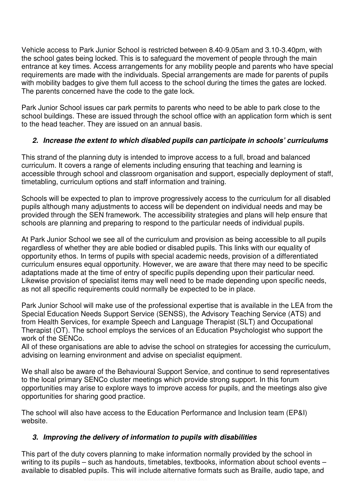Vehicle access to Park Junior School is restricted between 8.40-9.05am and 3.10-3.40pm, with the school gates being locked. This is to safeguard the movement of people through the main entrance at key times. Access arrangements for any mobility people and parents who have special requirements are made with the individuals. Special arrangements are made for parents of pupils with mobility badges to give them full access to the school during the times the gates are locked. The parents concerned have the code to the gate lock.

Park Junior School issues car park permits to parents who need to be able to park close to the school buildings. These are issued through the school office with an application form which is sent to the head teacher. They are issued on an annual basis.

# **2. Increase the extent to which disabled pupils can participate in schools' curriculums**

This strand of the planning duty is intended to improve access to a full, broad and balanced curriculum. It covers a range of elements including ensuring that teaching and learning is accessible through school and classroom organisation and support, especially deployment of staff, timetabling, curriculum options and staff information and training.

Schools will be expected to plan to improve progressively access to the curriculum for all disabled pupils although many adjustments to access will be dependent on individual needs and may be provided through the SEN framework. The accessibility strategies and plans will help ensure that schools are planning and preparing to respond to the particular needs of individual pupils.

At Park Junior School we see all of the curriculum and provision as being accessible to all pupils regardless of whether they are able bodied or disabled pupils. This links with our equality of opportunity ethos. In terms of pupils with special academic needs, provision of a differentiated curriculum ensures equal opportunity. However, we are aware that there may need to be specific adaptations made at the time of entry of specific pupils depending upon their particular need. Likewise provision of specialist items may well need to be made depending upon specific needs, as not all specific requirements could normally be expected to be in place.

Park Junior School will make use of the professional expertise that is available in the LEA from the Special Education Needs Support Service (SENSS), the Advisory Teaching Service (ATS) and from Health Services, for example Speech and Language Therapist (SLT) and Occupational Therapist (OT). The school employs the services of an Education Psychologist who support the work of the SENCo.

All of these organisations are able to advise the school on strategies for accessing the curriculum, advising on learning environment and advise on specialist equipment.

We shall also be aware of the Behavioural Support Service, and continue to send representatives to the local primary SENCo cluster meetings which provide strong support. In this forum opportunities may arise to explore ways to improve access for pupils, and the meetings also give opportunities for sharing good practice.

The school will also have access to the Education Performance and Inclusion team (EP&I) website.

# **3. Improving the delivery of information to pupils with disabilities**

This part of the duty covers planning to make information normally provided by the school in writing to its pupils – such as handouts, timetables, textbooks, information about school events – available to disabled pupils. This will include alternative formats such as Braille, audio tape, and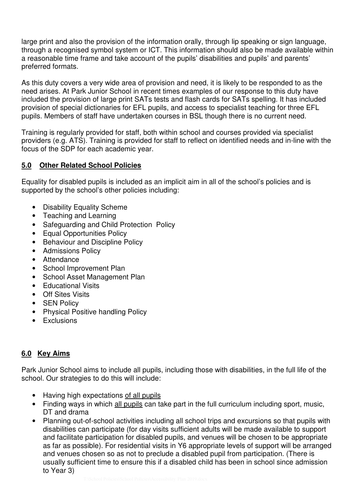large print and also the provision of the information orally, through lip speaking or sign language, through a recognised symbol system or ICT. This information should also be made available within a reasonable time frame and take account of the pupils' disabilities and pupils' and parents' preferred formats.

As this duty covers a very wide area of provision and need, it is likely to be responded to as the need arises. At Park Junior School in recent times examples of our response to this duty have included the provision of large print SATs tests and flash cards for SATs spelling. It has included provision of special dictionaries for EFL pupils, and access to specialist teaching for three EFL pupils. Members of staff have undertaken courses in BSL though there is no current need.

Training is regularly provided for staff, both within school and courses provided via specialist providers (e.g. ATS). Training is provided for staff to reflect on identified needs and in-line with the focus of the SDP for each academic year.

# **5.0 Other Related School Policies**

Equality for disabled pupils is included as an implicit aim in all of the school's policies and is supported by the school's other policies including:

- Disability Equality Scheme
- Teaching and Learning
- Safeguarding and Child Protection Policy
- Equal Opportunities Policy
- Behaviour and Discipline Policy
- Admissions Policy
- Attendance
- School Improvement Plan
- School Asset Management Plan
- Educational Visits
- Off Sites Visits
- SEN Policy
- Physical Positive handling Policy
- Exclusions

# **6.0 Key Aims**

Park Junior School aims to include all pupils, including those with disabilities, in the full life of the school. Our strategies to do this will include:

- Having high expectations of all pupils
- Finding ways in which all pupils can take part in the full curriculum including sport, music, DT and drama
- Planning out-of-school activities including all school trips and excursions so that pupils with disabilities can participate (for day visits sufficient adults will be made available to support and facilitate participation for disabled pupils, and venues will be chosen to be appropriate as far as possible). For residential visits in Y6 appropriate levels of support will be arranged and venues chosen so as not to preclude a disabled pupil from participation. (There is usually sufficient time to ensure this if a disabled child has been in school since admission to Year 3)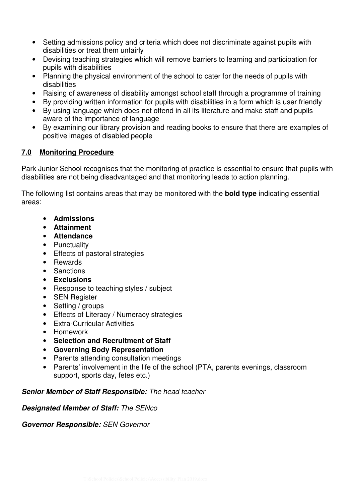- Setting admissions policy and criteria which does not discriminate against pupils with disabilities or treat them unfairly
- Devising teaching strategies which will remove barriers to learning and participation for pupils with disabilities
- Planning the physical environment of the school to cater for the needs of pupils with disabilities
- Raising of awareness of disability amongst school staff through a programme of training
- By providing written information for pupils with disabilities in a form which is user friendly
- By using language which does not offend in all its literature and make staff and pupils aware of the importance of language
- By examining our library provision and reading books to ensure that there are examples of positive images of disabled people

### **7.0 Monitoring Procedure**

Park Junior School recognises that the monitoring of practice is essential to ensure that pupils with disabilities are not being disadvantaged and that monitoring leads to action planning.

The following list contains areas that may be monitored with the **bold type** indicating essential areas:

- **Admissions**
- **Attainment**
- **Attendance**
- Punctuality
- Effects of pastoral strategies
- Rewards
- Sanctions
- **Exclusions**
- Response to teaching styles / subject
- SEN Register
- Setting / groups
- Effects of Literacy / Numeracy strategies
- Extra-Curricular Activities
- Homework
- **Selection and Recruitment of Staff**
- **Governing Body Representation**
- Parents attending consultation meetings
- Parents' involvement in the life of the school (PTA, parents evenings, classroom support, sports day, fetes etc.)

### **Senior Member of Staff Responsible:** The head teacher

### **Designated Member of Staff:** The SENco

**Governor Responsible:** SEN Governor